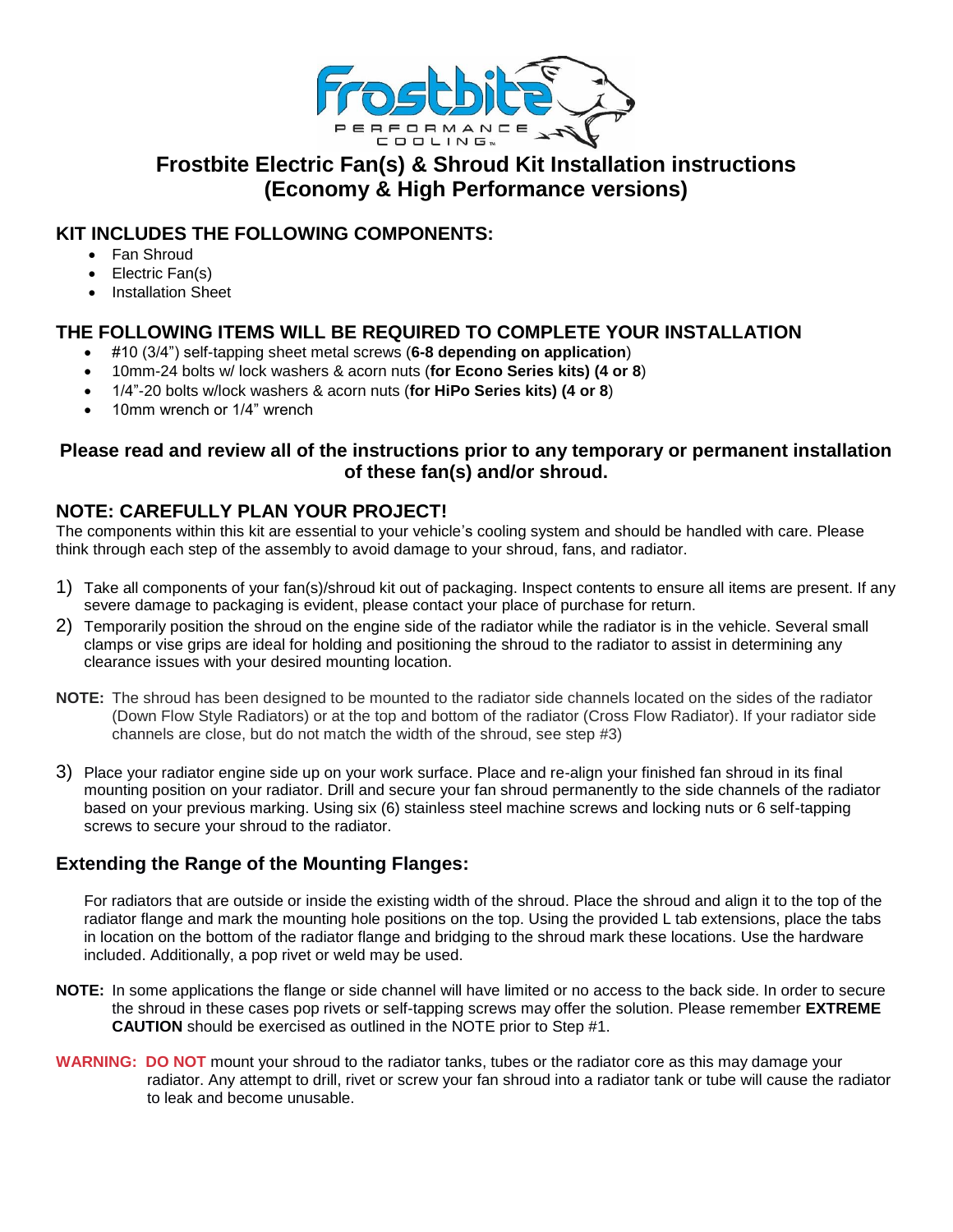

# **Frostbite Electric Fan(s) & Shroud Kit Installation instructions (Economy & High Performance versions)**

## **KIT INCLUDES THE FOLLOWING COMPONENTS:**

- Fan Shroud
- Electric Fan(s)
- Installation Sheet

## **THE FOLLOWING ITEMS WILL BE REQUIRED TO COMPLETE YOUR INSTALLATION**

- #10 (3/4") self-tapping sheet metal screws (**6-8 depending on application**)
- 10mm-24 bolts w/ lock washers & acorn nuts (**for Econo Series kits) (4 or 8**)
- 1/4"-20 bolts w/lock washers & acorn nuts (**for HiPo Series kits) (4 or 8**)
- 10mm wrench or 1/4" wrench

### **Please read and review all of the instructions prior to any temporary or permanent installation of these fan(s) and/or shroud.**

## **NOTE: CAREFULLY PLAN YOUR PROJECT!**

The components within this kit are essential to your vehicle's cooling system and should be handled with care. Please think through each step of the assembly to avoid damage to your shroud, fans, and radiator.

- 1) Take all components of your fan(s)/shroud kit out of packaging. Inspect contents to ensure all items are present. If any severe damage to packaging is evident, please contact your place of purchase for return.
- 2) Temporarily position the shroud on the engine side of the radiator while the radiator is in the vehicle. Several small clamps or vise grips are ideal for holding and positioning the shroud to the radiator to assist in determining any clearance issues with your desired mounting location.
- **NOTE:** The shroud has been designed to be mounted to the radiator side channels located on the sides of the radiator (Down Flow Style Radiators) or at the top and bottom of the radiator (Cross Flow Radiator). If your radiator side channels are close, but do not match the width of the shroud, see step #3)
- 3) Place your radiator engine side up on your work surface. Place and re-align your finished fan shroud in its final mounting position on your radiator. Drill and secure your fan shroud permanently to the side channels of the radiator based on your previous marking. Using six (6) stainless steel machine screws and locking nuts or 6 self-tapping screws to secure your shroud to the radiator.

## **Extending the Range of the Mounting Flanges:**

For radiators that are outside or inside the existing width of the shroud. Place the shroud and align it to the top of the radiator flange and mark the mounting hole positions on the top. Using the provided L tab extensions, place the tabs in location on the bottom of the radiator flange and bridging to the shroud mark these locations. Use the hardware included. Additionally, a pop rivet or weld may be used.

- **NOTE:** In some applications the flange or side channel will have limited or no access to the back side. In order to secure the shroud in these cases pop rivets or self-tapping screws may offer the solution. Please remember **EXTREME CAUTION** should be exercised as outlined in the NOTE prior to Step #1.
- **WARNING: DO NOT** mount your shroud to the radiator tanks, tubes or the radiator core as this may damage your radiator. Any attempt to drill, rivet or screw your fan shroud into a radiator tank or tube will cause the radiator to leak and become unusable.